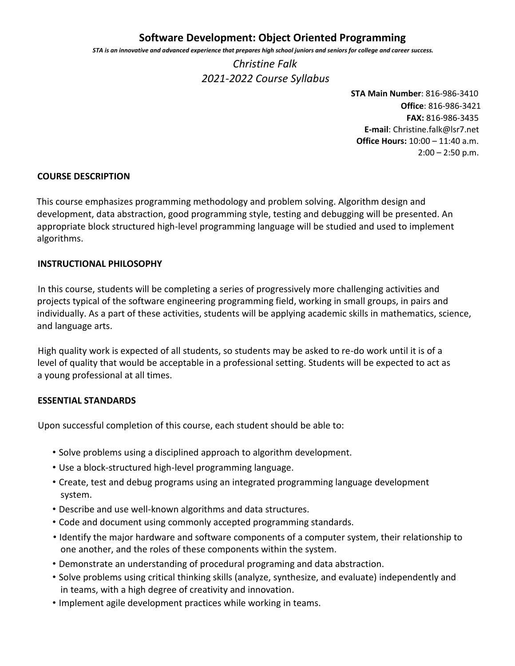# **Software Development: Object Oriented Programming**

*STA is an innovative and advanced experience that prepares high school juniors and seniors for college and career success.*

*Christine Falk 2021-2022 Course Syllabus*

> **STA Main Number**: 816-986-3410 **Office**: 816-986-3421 **FAX:** 816-986-3435 **E-mail**: Christine.falk@lsr7.net **Office Hours:** 10:00 – 11:40 a.m.  $2:00 - 2:50$  p.m.

#### **COURSE DESCRIPTION**

This course emphasizes programming methodology and problem solving. Algorithm design and development, data abstraction, good programming style, testing and debugging will be presented. An appropriate block structured high-level programming language will be studied and used to implement algorithms.

#### **INSTRUCTIONAL PHILOSOPHY**

In this course, students will be completing a series of progressively more challenging activities and projects typical of the software engineering programming field, working in small groups, in pairs and individually. As a part of these activities, students will be applying academic skills in mathematics, science, and language arts.

High quality work is expected of all students, so students may be asked to re-do work until it is of a level of quality that would be acceptable in a professional setting. Students will be expected to act as a young professional at all times.

### **ESSENTIAL STANDARDS**

Upon successful completion of this course, each student should be able to:

- Solve problems using a disciplined approach to algorithm development.
- Use a block-structured high-level programming language.
- Create, test and debug programs using an integrated programming language development system.
- Describe and use well-known algorithms and data structures.
- Code and document using commonly accepted programming standards.
- Identify the major hardware and software components of a computer system, their relationship to one another, and the roles of these components within the system.
- Demonstrate an understanding of procedural programing and data abstraction.
- Solve problems using critical thinking skills (analyze, synthesize, and evaluate) independently and in teams, with a high degree of creativity and innovation.
- Implement agile development practices while working in teams.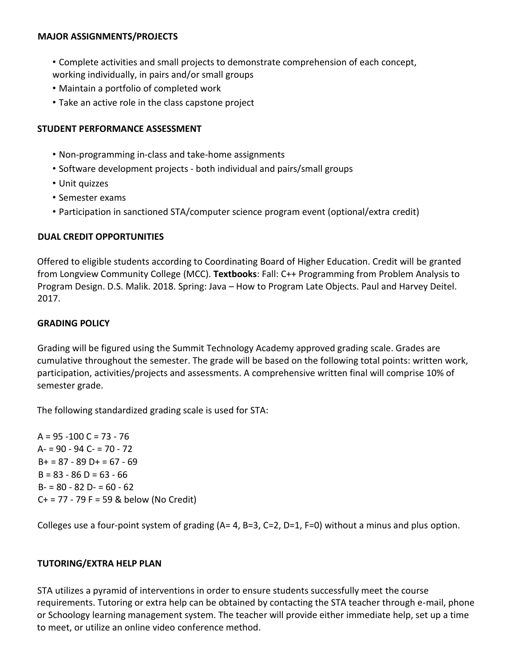### **MAJOR ASSIGNMENTS/PROJECTS**

- Complete activities and small projects to demonstrate comprehension of each concept, working individually, in pairs and/or small groups
- Maintain a portfolio of completed work
- Take an active role in the class capstone project

## **STUDENT PERFORMANCE ASSESSMENT**

- Non-programming in-class and take-home assignments
- Software development projects both individual and pairs/small groups
- Unit quizzes
- Semester exams
- Participation in sanctioned STA/computer science program event (optional/extra credit)

## **DUAL CREDIT OPPORTUNITIES**

Offered to eligible students according to Coordinating Board of Higher Education. Credit will be granted from Longview Community College (MCC). **Textbooks**: Fall: C++ Programming from Problem Analysis to Program Design. D.S. Malik. 2018. Spring: Java – How to Program Late Objects. Paul and Harvey Deitel. 2017.

### **GRADING POLICY**

Grading will be figured using the Summit Technology Academy approved grading scale. Grades are cumulative throughout the semester. The grade will be based on the following total points: written work, participation, activities/projects and assessments. A comprehensive written final will comprise 10% of semester grade.

The following standardized grading scale is used for STA:

 $A = 95 - 100 C = 73 - 76$ A- = 90 - 94 C- = 70 - 72  $B+ = 87 - 89$  D + = 67 - 69  $B = 83 - 86 D = 63 - 66$  $B = 80 - 82 D = 60 - 62$ C+ = 77 - 79 F = 59 & below (No Credit)

Colleges use a four-point system of grading (A= 4, B=3, C=2, D=1, F=0) without a minus and plus option.

### **TUTORING/EXTRA HELP PLAN**

STA utilizes a pyramid of interventions in order to ensure students successfully meet the course requirements. Tutoring or extra help can be obtained by contacting the STA teacher through e-mail, phone or Schoology learning management system. The teacher will provide either immediate help, set up a time to meet, or utilize an online video conference method.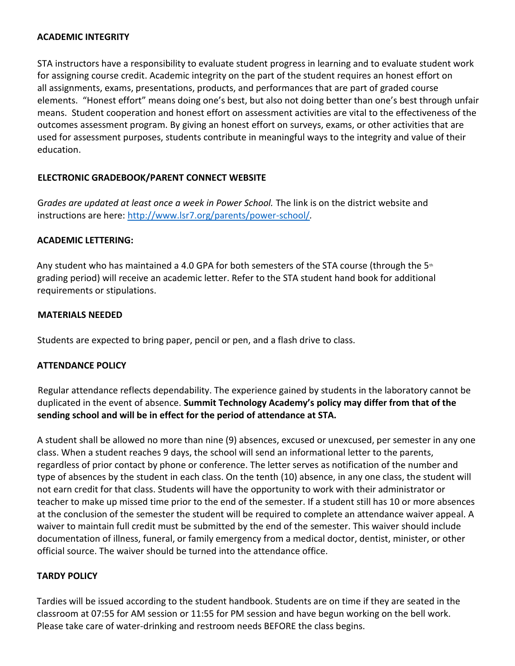## **ACADEMIC INTEGRITY**

STA instructors have a responsibility to evaluate student progress in learning and to evaluate student work for assigning course credit. Academic integrity on the part of the student requires an honest effort on all assignments, exams, presentations, products, and performances that are part of graded course elements. "Honest effort" means doing one's best, but also not doing better than one's best through unfair means. Student cooperation and honest effort on assessment activities are vital to the effectiveness of the outcomes assessment program. By giving an honest effort on surveys, exams, or other activities that are used for assessment purposes, students contribute in meaningful ways to the integrity and value of their education.

# **ELECTRONIC GRADEBOOK/PARENT CONNECT WEBSITE**

Grades are updated at least once a week in Power School. The link is on the district website and instructions are here: http://www.lsr7.org/parents/power-school/*.*

# **ACADEMIC LETTERING:**

Any student who has maintained a 4.0 GPA for both semesters of the STA course (through the  $5<sup>th</sup>$ grading period) will receive an academic letter. Refer to the STA student hand book for additional requirements or stipulations.

# **MATERIALS NEEDED**

Students are expected to bring paper, pencil or pen, and a flash drive to class.

# **ATTENDANCE POLICY**

Regular attendance reflects dependability. The experience gained by students in the laboratory cannot be duplicated in the event of absence. **Summit Technology Academy's policy may differ from that of the sending school and will be in effect for the period of attendance at STA.**

A student shall be allowed no more than nine (9) absences, excused or unexcused, per semester in any one class. When a student reaches 9 days, the school will send an informational letter to the parents, regardless of prior contact by phone or conference. The letter serves as notification of the number and type of absences by the student in each class. On the tenth (10) absence, in any one class, the student will not earn credit for that class. Students will have the opportunity to work with their administrator or teacher to make up missed time prior to the end of the semester. If a student still has 10 or more absences at the conclusion of the semester the student will be required to complete an attendance waiver appeal. A waiver to maintain full credit must be submitted by the end of the semester. This waiver should include documentation of illness, funeral, or family emergency from a medical doctor, dentist, minister, or other official source. The waiver should be turned into the attendance office.

# **TARDY POLICY**

Tardies will be issued according to the student handbook. Students are on time if they are seated in the classroom at 07:55 for AM session or 11:55 for PM session and have begun working on the bell work. Please take care of water-drinking and restroom needs BEFORE the class begins.